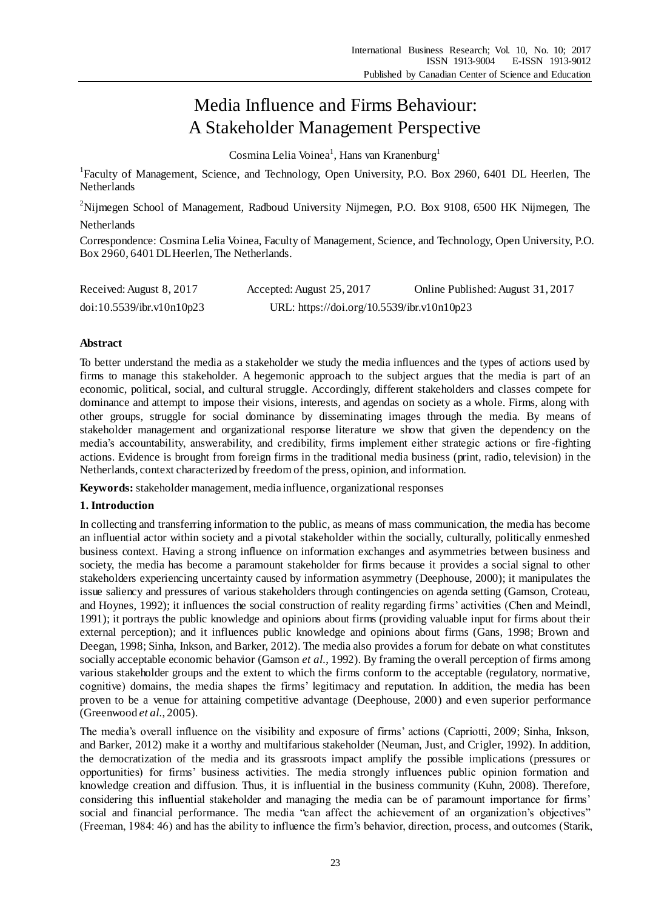# Media Influence and Firms Behaviour: A Stakeholder Management Perspective

Cosmina Lelia Voinea<sup>1</sup>, Hans van Kranenburg<sup>1</sup>

<sup>1</sup>Faculty of Management, Science, and Technology, Open University, P.O. Box 2960, 6401 DL Heerlen, The Netherlands

<sup>2</sup>Nijmegen School of Management, Radboud University Nijmegen, P.O. Box 9108, 6500 HK Nijmegen, The

# Netherlands

Correspondence: Cosmina Lelia Voinea, Faculty of Management, Science, and Technology, Open University, P.O. Box 2960, 6401 DL Heerlen, The Netherlands.

| Received: August 8, 2017  | Accepted: August 25, 2017                  | Online Published: August 31, 2017 |
|---------------------------|--------------------------------------------|-----------------------------------|
| doi:10.5539/ibr.v10n10p23 | URL: https://doi.org/10.5539/ibr.v10n10p23 |                                   |

# **Abstract**

To better understand the media as a stakeholder we study the media influences and the types of actions used by firms to manage this stakeholder. A hegemonic approach to the subject argues that the media is part of an economic, political, social, and cultural struggle. Accordingly, different stakeholders and classes compete for dominance and attempt to impose their visions, interests, and agendas on society as a whole. Firms, along with other groups, struggle for social dominance by disseminating images through the media. By means of stakeholder management and organizational response literature we show that given the dependency on the media's accountability, answerability, and credibility, firms implement either strategic actions or fire-fighting actions. Evidence is brought from foreign firms in the traditional media business (print, radio, television) in the Netherlands, context characterized by freedom of the press, opinion, and information.

**Keywords:** stakeholder management, media influence, organizational responses

# **1. Introduction**

In collecting and transferring information to the public, as means of mass communication, the media has become an influential actor within society and a pivotal stakeholder within the socially, culturally, politically enmeshed business context. Having a strong influence on information exchanges and asymmetries between business and society, the media has become a paramount stakeholder for firms because it provides a social signal to other stakeholders experiencing uncertainty caused by information asymmetry (Deephouse, 2000); it manipulates the issue saliency and pressures of various stakeholders through contingencies on agenda setting (Gamson, Croteau, and Hoynes, 1992); it influences the social construction of reality regarding firms' activities (Chen and Meindl, 1991); it portrays the public knowledge and opinions about firms (providing valuable input for firms about their external perception); and it influences public knowledge and opinions about firms (Gans, 1998; Brown and Deegan, 1998; Sinha, Inkson, and Barker, 2012). The media also provides a forum for debate on what constitutes socially acceptable economic behavior (Gamson *et al.*, 1992). By framing the overall perception of firms among various stakeholder groups and the extent to which the firms conform to the acceptable (regulatory, normative, cognitive) domains, the media shapes the firms' legitimacy and reputation. In addition, the media has been proven to be a venue for attaining competitive advantage (Deephouse, 2000) and even superior performance (Greenwood *et al.*, 2005).

The media's overall influence on the visibility and exposure of firms' actions (Capriotti, 2009; Sinha, Inkson, and Barker, 2012) make it a worthy and multifarious stakeholder (Neuman, Just, and Crigler, 1992). In addition, the democratization of the media and its grassroots impact amplify the possible implications (pressures or opportunities) for firms' business activities. The media strongly influences public opinion formation and knowledge creation and diffusion. Thus, it is influential in the business community (Kuhn, 2008). Therefore, considering this influential stakeholder and managing the media can be of paramount importance for firms' social and financial performance. The media "can affect the achievement of an organization's objectives" (Freeman, 1984: 46) and has the ability to influence the firm's behavior, direction, process, and outcomes (Starik,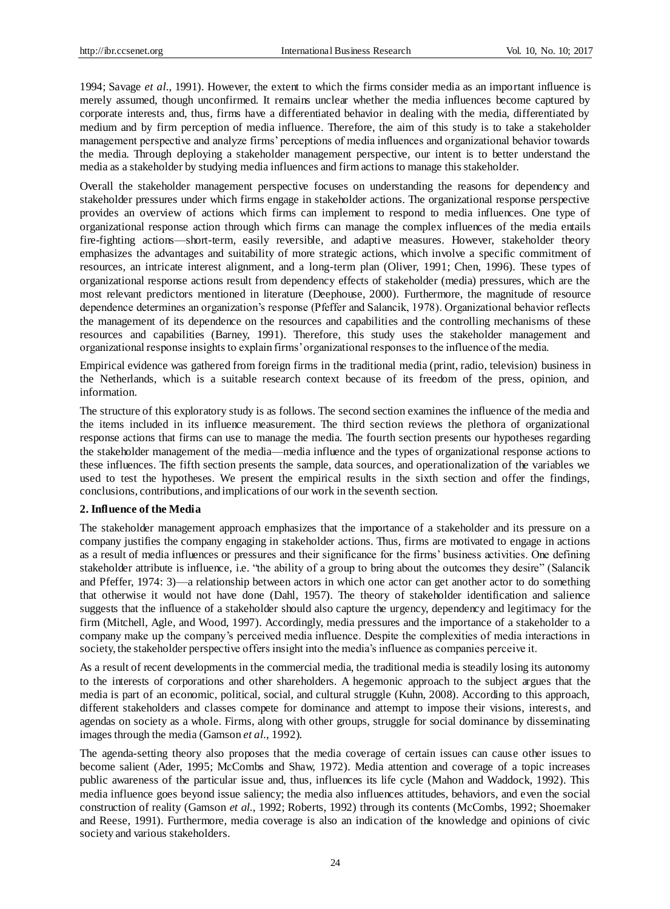1994; Savage *et al.*, 1991). However, the extent to which the firms consider media as an important influence is merely assumed, though unconfirmed. It remains unclear whether the media influences become captured by corporate interests and, thus, firms have a differentiated behavior in dealing with the media, differentiated by medium and by firm perception of media influence. Therefore, the aim of this study is to take a stakeholder management perspective and analyze firms' perceptions of media influences and organizational behavior towards the media. Through deploying a stakeholder management perspective, our intent is to better understand the media as a stakeholder by studying media influences and firm actions to manage this stakeholder.

Overall the stakeholder management perspective focuses on understanding the reasons for dependency and stakeholder pressures under which firms engage in stakeholder actions. The organizational response perspective provides an overview of actions which firms can implement to respond to media influences. One type of organizational response action through which firms can manage the complex influences of the media entails fire-fighting actions—short-term, easily reversible, and adaptive measures. However, stakeholder theory emphasizes the advantages and suitability of more strategic actions, which involve a specific commitment of resources, an intricate interest alignment, and a long-term plan (Oliver, 1991; Chen, 1996). These types of organizational response actions result from dependency effects of stakeholder (media) pressures, which are the most relevant predictors mentioned in literature (Deephouse, 2000). Furthermore, the magnitude of resource dependence determines an organization's response (Pfeffer and Salancik, 1978). Organizational behavior reflects the management of its dependence on the resources and capabilities and the controlling mechanisms of these resources and capabilities (Barney, 1991). Therefore, this study uses the stakeholder management and organizational response insights to explain firms' organizational responses to the influence of the media.

Empirical evidence was gathered from foreign firms in the traditional media (print, radio, television) business in the Netherlands, which is a suitable research context because of its freedom of the press, opinion, and information.

The structure of this exploratory study is as follows. The second section examines the influence of the media and the items included in its influence measurement. The third section reviews the plethora of organizational response actions that firms can use to manage the media. The fourth section presents our hypotheses regarding the stakeholder management of the media—media influence and the types of organizational response actions to these influences. The fifth section presents the sample, data sources, and operationalization of the variables we used to test the hypotheses. We present the empirical results in the sixth section and offer the findings, conclusions, contributions, and implications of our work in the seventh section.

### **2. Influence of the Media**

The stakeholder management approach emphasizes that the importance of a stakeholder and its pressure on a company justifies the company engaging in stakeholder actions. Thus, firms are motivated to engage in actions as a result of media influences or pressures and their significance for the firms' business activities. One defining stakeholder attribute is influence, i.e. "the ability of a group to bring about the outcomes they desire" (Salancik and Pfeffer, 1974: 3)—a relationship between actors in which one actor can get another actor to do something that otherwise it would not have done (Dahl, 1957). The theory of stakeholder identification and salience suggests that the influence of a stakeholder should also capture the urgency, dependency and legitimacy for the firm (Mitchell, Agle, and Wood, 1997). Accordingly, media pressures and the importance of a stakeholder to a company make up the company's perceived media influence. Despite the complexities of media interactions in society, the stakeholder perspective offers insight into the media's influence as companies perceive it.

As a result of recent developments in the commercial media, the traditional media is steadily losing its autonomy to the interests of corporations and other shareholders. A hegemonic approach to the subject argues that the media is part of an economic, political, social, and cultural struggle (Kuhn, 2008). According to this approach, different stakeholders and classes compete for dominance and attempt to impose their visions, interests, and agendas on society as a whole. Firms, along with other groups, struggle for social dominance by disseminating images through the media (Gamson *et al.*, 1992).

The agenda-setting theory also proposes that the media coverage of certain issues can cause other issues to become salient (Ader, 1995; McCombs and Shaw, 1972). Media attention and coverage of a topic increases public awareness of the particular issue and, thus, influences its life cycle (Mahon and Waddock, 1992). This media influence goes beyond issue saliency; the media also influences attitudes, behaviors, and even the social construction of reality (Gamson *et al.*, 1992; Roberts, 1992) through its contents (McCombs, 1992; Shoemaker and Reese, 1991). Furthermore, media coverage is also an indication of the knowledge and opinions of civic society and various stakeholders.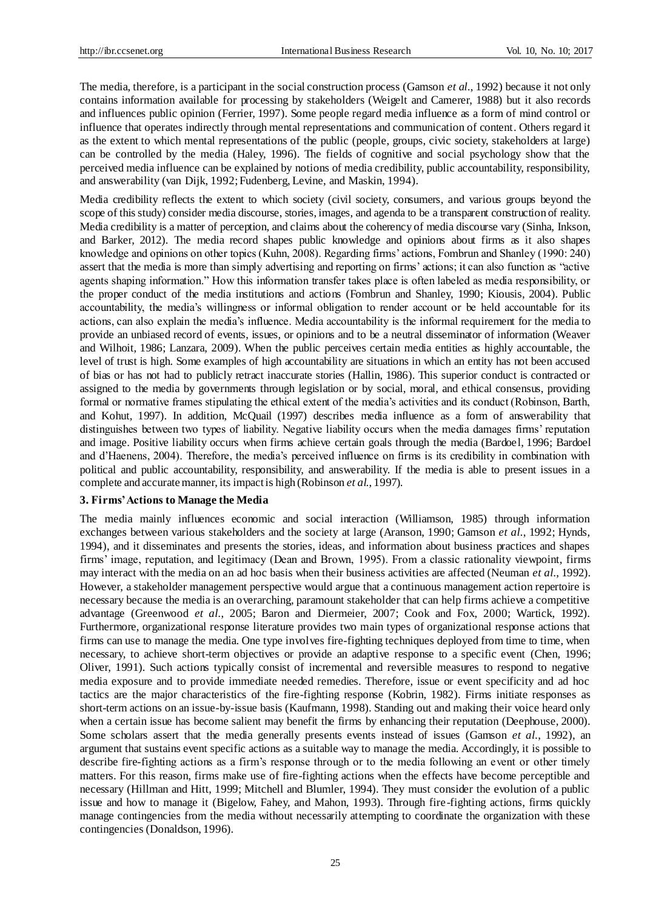The media, therefore, is a participant in the social construction process (Gamson *et al.*, 1992) because it not only contains information available for processing by stakeholders (Weigelt and Camerer, 1988) but it also records and influences public opinion (Ferrier, 1997). Some people regard media influence as a form of mind control or influence that operates indirectly through mental representations and communication of content. Others regard it as the extent to which mental representations of the public (people, groups, civic society, stakeholders at large) can be controlled by the media (Haley, 1996). The fields of cognitive and social psychology show that the perceived media influence can be explained by notions of media credibility, public accountability, responsibility, and answerability (van Dijk, 1992; Fudenberg, Levine, and Maskin, 1994).

Media credibility reflects the extent to which society (civil society, consumers, and various groups beyond the scope of this study) consider media discourse, stories, images, and agenda to be a transparent construction of reality. Media credibility is a matter of perception, and claims about the coherency of media discourse vary (Sinha, Inkson, and Barker, 2012). The media record shapes public knowledge and opinions about firms as it also shapes knowledge and opinions on other topics (Kuhn, 2008). Regarding firms' actions, Fombrun and Shanley (1990: 240) assert that the media is more than simply advertising and reporting on firms' actions; it can also function as "active agents shaping information." How this information transfer takes place is often labeled as media responsibility, or the proper conduct of the media institutions and actions (Fombrun and Shanley, 1990; Kiousis, 2004). Public accountability, the media's willingness or informal obligation to render account or be held accountable for its actions, can also explain the media's influence. Media accountability is the informal requirement for the media to provide an unbiased record of events, issues, or opinions and to be a neutral disseminator of information (Weaver and Wilhoit, 1986; Lanzara, 2009). When the public perceives certain media entities as highly accountable, the level of trust is high. Some examples of high accountability are situations in which an entity has not been accused of bias or has not had to publicly retract inaccurate stories (Hallin, 1986). This superior conduct is contracted or assigned to the media by governments through legislation or by social, moral, and ethical consensus, providing formal or normative frames stipulating the ethical extent of the media's activities and its conduct (Robinson, Barth, and Kohut, 1997). In addition, McQuail (1997) describes media influence as a form of answerability that distinguishes between two types of liability. Negative liability occurs when the media damages firms' reputation and image. Positive liability occurs when firms achieve certain goals through the media (Bardoel, 1996; Bardoel and d'Haenens, 2004). Therefore, the media's perceived influence on firms is its credibility in combination with political and public accountability, responsibility, and answerability. If the media is able to present issues in a complete and accurate manner, its impact is high (Robinson *et al.*, 1997).

## **3. Firms' Actions to Manage the Media**

The media mainly influences economic and social interaction (Williamson, 1985) through information exchanges between various stakeholders and the society at large (Aranson, 1990; Gamson *et al.*, 1992; Hynds, 1994), and it disseminates and presents the stories, ideas, and information about business practices and shapes firms' image, reputation, and legitimacy (Dean and Brown, 1995). From a classic rationality viewpoint, firms may interact with the media on an ad hoc basis when their business activities are affected (Neuman *et al.*, 1992). However, a stakeholder management perspective would argue that a continuous management action repertoire is necessary because the media is an overarching, paramount stakeholder that can help firms achieve a competitive advantage (Greenwood *et al.*, 2005; Baron and Diermeier, 2007; Cook and Fox, 2000; Wartick, 1992). Furthermore, organizational response literature provides two main types of organizational response actions that firms can use to manage the media. One type involves fire-fighting techniques deployed from time to time, when necessary, to achieve short-term objectives or provide an adaptive response to a specific event (Chen, 1996; Oliver, 1991). Such actions typically consist of incremental and reversible measures to respond to negative media exposure and to provide immediate needed remedies. Therefore, issue or event specificity and ad hoc tactics are the major characteristics of the fire-fighting response (Kobrin, 1982). Firms initiate responses as short-term actions on an issue-by-issue basis (Kaufmann, 1998). Standing out and making their voice heard only when a certain issue has become salient may benefit the firms by enhancing their reputation (Deephouse, 2000). Some scholars assert that the media generally presents events instead of issues (Gamson *et al.*, 1992), an argument that sustains event specific actions as a suitable way to manage the media. Accordingly, it is possible to describe fire-fighting actions as a firm's response through or to the media following an event or other timely matters. For this reason, firms make use of fire-fighting actions when the effects have become perceptible and necessary (Hillman and Hitt, 1999; Mitchell and Blumler, 1994). They must consider the evolution of a public issue and how to manage it (Bigelow, Fahey, and Mahon, 1993). Through fire-fighting actions, firms quickly manage contingencies from the media without necessarily attempting to coordinate the organization with these contingencies (Donaldson, 1996).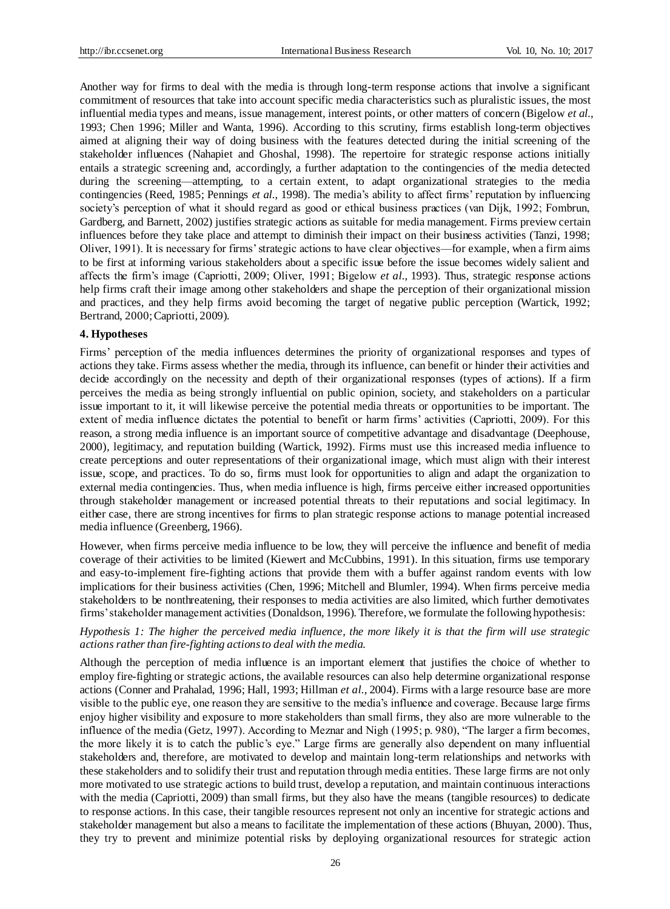Another way for firms to deal with the media is through long-term response actions that involve a significant commitment of resources that take into account specific media characteristics such as pluralistic issues, the most influential media types and means, issue management, interest points, or other matters of concern (Bigelow *et al.*, 1993; Chen 1996; Miller and Wanta, 1996). According to this scrutiny, firms establish long-term objectives aimed at aligning their way of doing business with the features detected during the initial screening of the stakeholder influences (Nahapiet and Ghoshal, 1998). The repertoire for strategic response actions initially entails a strategic screening and, accordingly, a further adaptation to the contingencies of the media detected during the screening—attempting, to a certain extent, to adapt organizational strategies to the media contingencies (Reed, 1985; Pennings *et al.*, 1998). The media's ability to affect firms' reputation by influencing society's perception of what it should regard as good or ethical business practices (van Dijk, 1992; Fombrun, Gardberg, and Barnett, 2002) justifies strategic actions as suitable for media management. Firms preview certain influences before they take place and attempt to diminish their impact on their business activities (Tanzi, 1998; Oliver, 1991). It is necessary for firms' strategic actions to have clear objectives—for example, when a firm aims to be first at informing various stakeholders about a specific issue before the issue becomes widely salient and affects the firm's image (Capriotti, 2009; Oliver, 1991; Bigelow *et al.*, 1993). Thus, strategic response actions help firms craft their image among other stakeholders and shape the perception of their organizational mission and practices, and they help firms avoid becoming the target of negative public perception (Wartick, 1992; Bertrand, 2000; Capriotti, 2009).

### **4. Hypotheses**

Firms' perception of the media influences determines the priority of organizational responses and types of actions they take. Firms assess whether the media, through its influence, can benefit or hinder their activities and decide accordingly on the necessity and depth of their organizational responses (types of actions). If a firm perceives the media as being strongly influential on public opinion, society, and stakeholders on a particular issue important to it, it will likewise perceive the potential media threats or opportunities to be important. The extent of media influence dictates the potential to benefit or harm firms' activities (Capriotti, 2009). For this reason, a strong media influence is an important source of competitive advantage and disadvantage (Deephouse, 2000), legitimacy, and reputation building (Wartick, 1992). Firms must use this increased media influence to create perceptions and outer representations of their organizational image, which must align with their interest issue, scope, and practices. To do so, firms must look for opportunities to align and adapt the organization to external media contingencies. Thus, when media influence is high, firms perceive either increased opportunities through stakeholder management or increased potential threats to their reputations and social legitimacy. In either case, there are strong incentives for firms to plan strategic response actions to manage potential increased media influence (Greenberg, 1966).

However, when firms perceive media influence to be low, they will perceive the influence and benefit of media coverage of their activities to be limited (Kiewert and McCubbins, 1991). In this situation, firms use temporary and easy-to-implement fire-fighting actions that provide them with a buffer against random events with low implications for their business activities (Chen, 1996; Mitchell and Blumler, 1994). When firms perceive media stakeholders to be nonthreatening, their responses to media activities are also limited, which further demotivates firms' stakeholder management activities (Donaldson, 1996). Therefore, we formulate the following hypothesis:

# *Hypothesis 1: The higher the perceived media influence, the more likely it is that the firm will use strategic actions rather than fire-fighting actions to deal with the media.*

Although the perception of media influence is an important element that justifies the choice of whether to employ fire-fighting or strategic actions, the available resources can also help determine organizational response actions (Conner and Prahalad, 1996; Hall, 1993; Hillman *et al.*, 2004). Firms with a large resource base are more visible to the public eye, one reason they are sensitive to the media's influence and coverage. Because large firms enjoy higher visibility and exposure to more stakeholders than small firms, they also are more vulnerable to the influence of the media (Getz, 1997). According to Meznar and Nigh (1995; p. 980), "The larger a firm becomes, the more likely it is to catch the public's eye." Large firms are generally also dependent on many influential stakeholders and, therefore, are motivated to develop and maintain long-term relationships and networks with these stakeholders and to solidify their trust and reputation through media entities. These large firms are not only more motivated to use strategic actions to build trust, develop a reputation, and maintain continuous interactions with the media (Capriotti, 2009) than small firms, but they also have the means (tangible resources) to dedicate to response actions. In this case, their tangible resources represent not only an incentive for strategic actions and stakeholder management but also a means to facilitate the implementation of these actions (Bhuyan, 2000). Thus, they try to prevent and minimize potential risks by deploying organizational resources for strategic action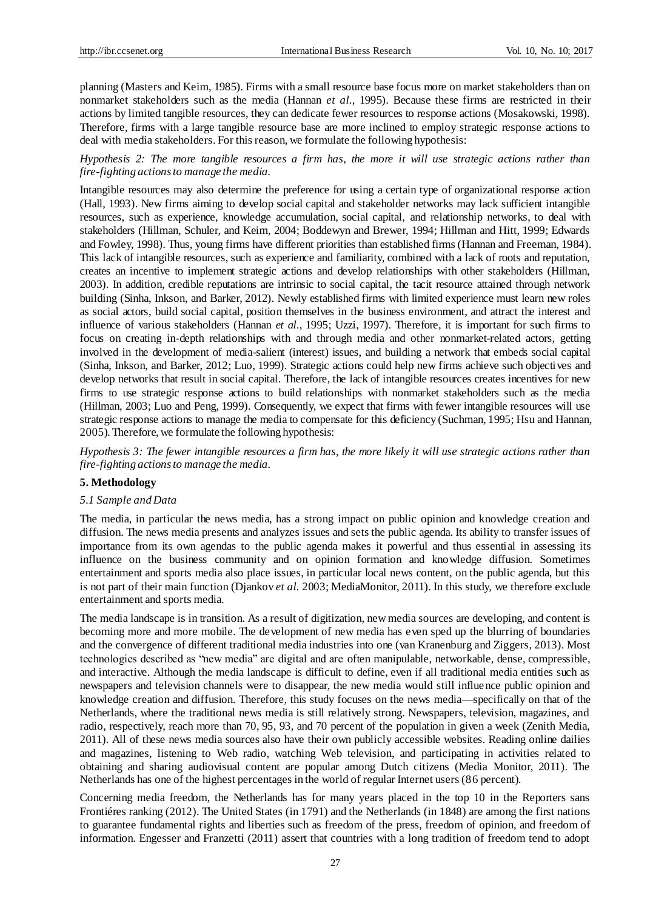planning (Masters and Keim, 1985). Firms with a small resource base focus more on market stakeholders than on nonmarket stakeholders such as the media (Hannan *et al.*, 1995). Because these firms are restricted in their actions by limited tangible resources, they can dedicate fewer resources to response actions (Mosakowski, 1998). Therefore, firms with a large tangible resource base are more inclined to employ strategic response actions to deal with media stakeholders. For this reason, we formulate the following hypothesis:

*Hypothesis 2: The more tangible resources a firm has, the more it will use strategic actions rather than fire-fighting actions to manage the media.* 

Intangible resources may also determine the preference for using a certain type of organizational response action (Hall, 1993). New firms aiming to develop social capital and stakeholder networks may lack sufficient intangible resources, such as experience, knowledge accumulation, social capital, and relationship networks, to deal with stakeholders (Hillman, Schuler, and Keim, 2004; Boddewyn and Brewer, 1994; Hillman and Hitt, 1999; Edwards and Fowley, 1998). Thus, young firms have different priorities than established firms (Hannan and Freeman, 1984). This lack of intangible resources, such as experience and familiarity, combined with a lack of roots and reputation, creates an incentive to implement strategic actions and develop relationships with other stakeholders (Hillman, 2003). In addition, credible reputations are intrinsic to social capital, the tacit resource attained through network building (Sinha, Inkson, and Barker, 2012). Newly established firms with limited experience must learn new roles as social actors, build social capital, position themselves in the business environment, and attract the interest and influence of various stakeholders (Hannan *et al.*, 1995; Uzzi, 1997). Therefore, it is important for such firms to focus on creating in-depth relationships with and through media and other nonmarket-related actors, getting involved in the development of media-salient (interest) issues, and building a network that embeds social capital (Sinha, Inkson, and Barker, 2012; Luo, 1999). Strategic actions could help new firms achieve such objectives and develop networks that result in social capital. Therefore, the lack of intangible resources creates incentives for new firms to use strategic response actions to build relationships with nonmarket stakeholders such as the media (Hillman, 2003; Luo and Peng, 1999). Consequently, we expect that firms with fewer intangible resources will use strategic response actions to manage the media to compensate for this deficiency (Suchman, 1995; Hsu and Hannan, 2005). Therefore, we formulate the following hypothesis:

*Hypothesis 3: The fewer intangible resources a firm has, the more likely it will use strategic actions rather than fire-fighting actions to manage the media.* 

## **5. Methodology**

#### *5.1 Sample and Data*

The media, in particular the news media, has a strong impact on public opinion and knowledge creation and diffusion. The news media presents and analyzes issues and sets the public agenda. Its ability to transfer issues of importance from its own agendas to the public agenda makes it powerful and thus essential in assessing its influence on the business community and on opinion formation and knowledge diffusion. Sometimes entertainment and sports media also place issues, in particular local news content, on the public agenda, but this is not part of their main function (Djankov *et al.* 2003; MediaMonitor, 2011). In this study, we therefore exclude entertainment and sports media.

The media landscape is in transition. As a result of digitization, new media sources are developing, and content is becoming more and more mobile. The development of new media has even sped up the blurring of boundaries and the convergence of different traditional media industries into one (van Kranenburg and Ziggers, 2013). Most technologies described as "new media" are digital and are often manipulable, networkable, dense, compressible, and interactive. Although the media landscape is difficult to define, even if all traditional media entities such as newspapers and television channels were to disappear, the new media would still influence public opinion and knowledge creation and diffusion. Therefore, this study focuses on the news media—specifically on that of the Netherlands, where the traditional news media is still relatively strong. Newspapers, television, magazines, and radio, respectively, reach more than 70, 95, 93, and 70 percent of the population in given a week (Zenith Media, 2011). All of these news media sources also have their own publicly accessible websites. Reading online dailies and magazines, listening to Web radio, watching Web television, and participating in activities related to obtaining and sharing audiovisual content are popular among Dutch citizens (Media Monitor, 2011). The Netherlands has one of the highest percentages in the world of regular Internet users (86 percent).

Concerning media freedom, the Netherlands has for many years placed in the top 10 in the Reporters sans Fronti éres ranking (2012). The United States (in 1791) and the Netherlands (in 1848) are among the first nations to guarantee fundamental rights and liberties such as freedom of the press, freedom of opinion, and freedom of information. Engesser and Franzetti (2011) assert that countries with a long tradition of freedom tend to adopt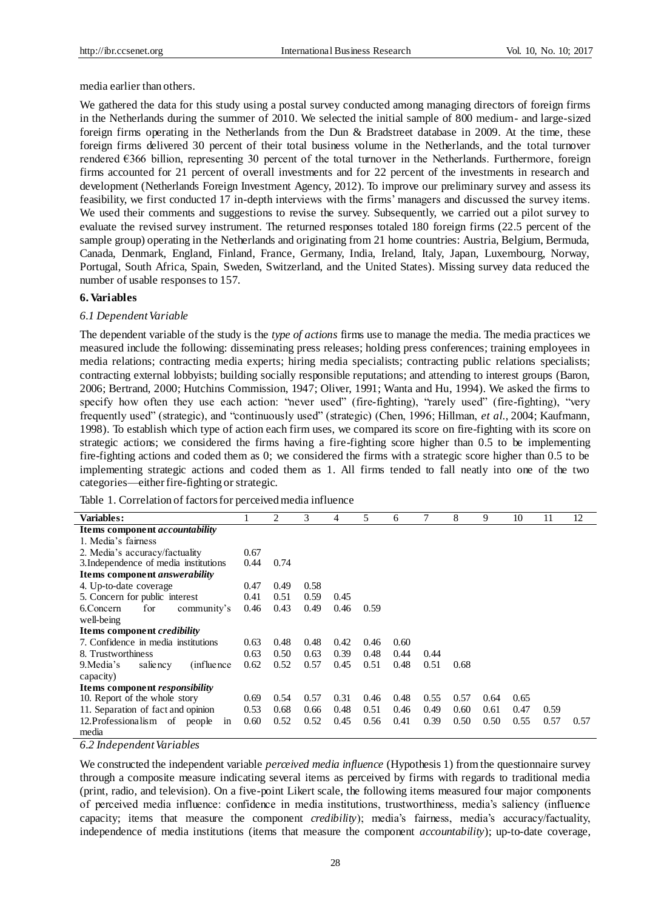media earlier than others.

We gathered the data for this study using a postal survey conducted among managing directors of foreign firms in the Netherlands during the summer of 2010. We selected the initial sample of 800 medium- and large-sized foreign firms operating in the Netherlands from the Dun & Bradstreet database in 2009. At the time, these foreign firms delivered 30 percent of their total business volume in the Netherlands, and the total turnover rendered €366 billion, representing 30 percent of the total turnover in the Netherlands. Furthermore, foreign firms accounted for 21 percent of overall investments and for 22 percent of the investments in research and development (Netherlands Foreign Investment Agency, 2012). To improve our preliminary survey and assess its feasibility, we first conducted 17 in-depth interviews with the firms' managers and discussed the survey items. We used their comments and suggestions to revise the survey. Subsequently, we carried out a pilot survey to evaluate the revised survey instrument. The returned responses totaled 180 foreign firms (22.5 percent of the sample group) operating in the Netherlands and originating from 21 home countries: Austria, Belgium, Bermuda, Canada, Denmark, England, Finland, France, Germany, India, Ireland, Italy, Japan, Luxembourg, Norway, Portugal, South Africa, Spain, Sweden, Switzerland, and the United States). Missing survey data reduced the number of usable responses to 157.

#### **6. Variables**

### *6.1 Dependent Variable*

The dependent variable of the study is the *type of actions* firms use to manage the media. The media practices we measured include the following: disseminating press releases; holding press conferences; training employees in media relations; contracting media experts; hiring media specialists; contracting public relations specialists; contracting external lobbyists; building socially responsible reputations; and attending to interest groups (Baron, 2006; Bertrand, 2000; Hutchins Commission, 1947; Oliver, 1991; Wanta and Hu, 1994). We asked the firms to specify how often they use each action: "never used" (fire-fighting), "rarely used" (fire-fighting), "very frequently used" (strategic), and "continuously used" (strategic) (Chen, 1996; Hillman, *et al.*, 2004; Kaufmann, 1998). To establish which type of action each firm uses, we compared its score on fire-fighting with its score on strategic actions; we considered the firms having a fire-fighting score higher than 0.5 to be implementing fire-fighting actions and coded them as 0; we considered the firms with a strategic score higher than 0.5 to be implementing strategic actions and coded them as 1. All firms tended to fall neatly into one of the two categories—either fire-fighting or strategic.

Table 1. Correlation of factors for perceived media influence

| <b>Variables:</b>                              |      | 2    | 3    | 4    | 5    | 6    | 7    | 8    | 9    | 10   | 11   | 12   |
|------------------------------------------------|------|------|------|------|------|------|------|------|------|------|------|------|
| Items component <i>accountability</i>          |      |      |      |      |      |      |      |      |      |      |      |      |
| 1. Media's fairness                            |      |      |      |      |      |      |      |      |      |      |      |      |
| 2. Media's accuracy/factuality                 | 0.67 |      |      |      |      |      |      |      |      |      |      |      |
| 3. Independence of media institutions          | 0.44 | 0.74 |      |      |      |      |      |      |      |      |      |      |
| <b>Items component answerability</b>           |      |      |      |      |      |      |      |      |      |      |      |      |
| 4. Up-to-date coverage                         | 0.47 | 0.49 | 0.58 |      |      |      |      |      |      |      |      |      |
| 5. Concern for public interest                 | 0.41 | 0.51 | 0.59 | 0.45 |      |      |      |      |      |      |      |      |
| 6. Concern<br>for<br>community's               | 0.46 | 0.43 | 0.49 | 0.46 | 0.59 |      |      |      |      |      |      |      |
| well-being                                     |      |      |      |      |      |      |      |      |      |      |      |      |
| Items component <i>credibility</i>             |      |      |      |      |      |      |      |      |      |      |      |      |
| 7. Confidence in media institutions            | 0.63 | 0.48 | 0.48 | 0.42 | 0.46 | 0.60 |      |      |      |      |      |      |
| 8. Trustworthiness                             | 0.63 | 0.50 | 0.63 | 0.39 | 0.48 | 0.44 | 0.44 |      |      |      |      |      |
| 9. Media's<br>saliency<br>(influence)          | 0.62 | 0.52 | 0.57 | 0.45 | 0.51 | 0.48 | 0.51 | 0.68 |      |      |      |      |
| capacity)                                      |      |      |      |      |      |      |      |      |      |      |      |      |
| <b>Items component responsibility</b>          |      |      |      |      |      |      |      |      |      |      |      |      |
| 10. Report of the whole story                  | 0.69 | 0.54 | 0.57 | 0.31 | 0.46 | 0.48 | 0.55 | 0.57 | 0.64 | 0.65 |      |      |
| 11. Separation of fact and opinion             | 0.53 | 0.68 | 0.66 | 0.48 | 0.51 | 0.46 | 0.49 | 0.60 | 0.61 | 0.47 | 0.59 |      |
| 12.Professionalism of<br>people<br>1n<br>media | 0.60 | 0.52 | 0.52 | 0.45 | 0.56 | 0.41 | 0.39 | 0.50 | 0.50 | 0.55 | 0.57 | 0.57 |

*6.2 Independent Variables*

We constructed the independent variable *perceived media influence* (Hypothesis 1) from the questionnaire survey through a composite measure indicating several items as perceived by firms with regards to traditional media (print, radio, and television). On a five-point Likert scale, the following items measured four major components of perceived media influence: confidence in media institutions, trustworthiness, media's saliency (influence capacity; items that measure the component *credibility*); media's fairness, media's accuracy/factuality, independence of media institutions (items that measure the component *accountability*); up-to-date coverage,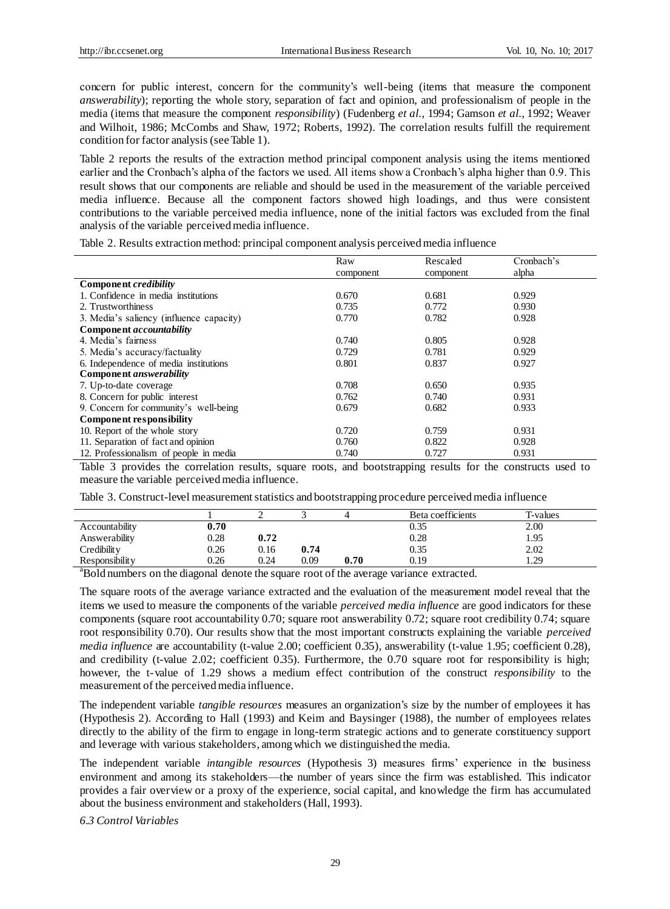concern for public interest, concern for the community's well-being (items that measure the component *answerability*); reporting the whole story, separation of fact and opinion, and professionalism of people in the media (items that measure the component *responsibility*) (Fudenberg *et al.*, 1994; Gamson *et al.*, 1992; Weaver and Wilhoit, 1986; McCombs and Shaw, 1972; Roberts, 1992). The correlation results fulfill the requirement condition for factor analysis (see Table 1).

Table 2 reports the results of the extraction method principal component analysis using the items mentioned earlier and the Cronbach's alpha of the factors we used. All items show a Cronbach's alpha higher than 0.9. This result shows that our components are reliable and should be used in the measurement of the variable perceived media influence. Because all the component factors showed high loadings, and thus were consistent contributions to the variable perceived media influence, none of the initial factors was excluded from the final analysis of the variable perceived media influence.

Table 2. Results extraction method: principal component analysis perceived media influence

|                                                                                                                              | Cronbach's                                                                                                                        |
|------------------------------------------------------------------------------------------------------------------------------|-----------------------------------------------------------------------------------------------------------------------------------|
|                                                                                                                              | alpha                                                                                                                             |
|                                                                                                                              |                                                                                                                                   |
|                                                                                                                              | 0.929                                                                                                                             |
|                                                                                                                              | 0.930                                                                                                                             |
|                                                                                                                              | 0.928                                                                                                                             |
|                                                                                                                              |                                                                                                                                   |
|                                                                                                                              | 0.928                                                                                                                             |
|                                                                                                                              | 0.929                                                                                                                             |
|                                                                                                                              | 0.927                                                                                                                             |
|                                                                                                                              |                                                                                                                                   |
|                                                                                                                              | 0.935                                                                                                                             |
|                                                                                                                              | 0.931                                                                                                                             |
|                                                                                                                              | 0.933                                                                                                                             |
|                                                                                                                              |                                                                                                                                   |
|                                                                                                                              | 0.931                                                                                                                             |
|                                                                                                                              | 0.928                                                                                                                             |
|                                                                                                                              | 0.931                                                                                                                             |
| Raw<br>component<br>0.670<br>0.735<br>0.770<br>0.740<br>0.729<br>0.801<br>0.708<br>0.762<br>0.679<br>0.720<br>0.760<br>0.740 | Rescaled<br>component<br>0.681<br>0.772<br>0.782<br>0.805<br>0.781<br>0.837<br>0.650<br>0.740<br>0.682<br>0.759<br>0.822<br>0.727 |

Table 3 provides the correlation results, square roots, and bootstrapping results for the constructs used to measure the variable perceived media influence.

Table 3. Construct-level measurement statistics and bootstrapping procedure perceived media influence

|                |      |      |      |      | Beta coefficients | T-values |
|----------------|------|------|------|------|-------------------|----------|
| Accountability | 0.70 |      |      |      | 0.35              | 2.00     |
| Answerability  | 0.28 | 0.72 |      |      | 0.28              | 1.95     |
| Credibility    | 0.26 | 0.16 | 0.74 |      | 0.35              | 2.02     |
| Responsibility | 0.26 | 0.24 | 0.09 | 0.70 | 0.19              | 1.29     |

<sup>a</sup>Bold numbers on the diagonal denote the square root of the average variance extracted.

The square roots of the average variance extracted and the evaluation of the measurement model reveal that the items we used to measure the components of the variable *perceived media influence* are good indicators for these components (square root accountability 0.70; square root answerability 0.72; square root credibility 0.74; square root responsibility 0.70). Our results show that the most important constructs explaining the variable *perceived media influence* are accountability (t-value 2.00; coefficient 0.35), answerability (t-value 1.95; coefficient 0.28), and credibility (t-value 2.02; coefficient 0.35). Furthermore, the 0.70 square root for responsibility is high; however, the t-value of 1.29 shows a medium effect contribution of the construct *responsibility* to the measurement of the perceived media influence.

The independent variable *tangible resources* measures an organization's size by the number of employees it has (Hypothesis 2). According to Hall (1993) and Keim and Baysinger (1988), the number of employees relates directly to the ability of the firm to engage in long-term strategic actions and to generate constituency support and leverage with various stakeholders, among which we distinguished the media.

The independent variable *intangible resources* (Hypothesis 3) measures firms' experience in the business environment and among its stakeholders—the number of years since the firm was established. This indicator provides a fair overview or a proxy of the experience, social capital, and knowledge the firm has accumulated about the business environment and stakeholders (Hall, 1993).

*6.3 Control Variables*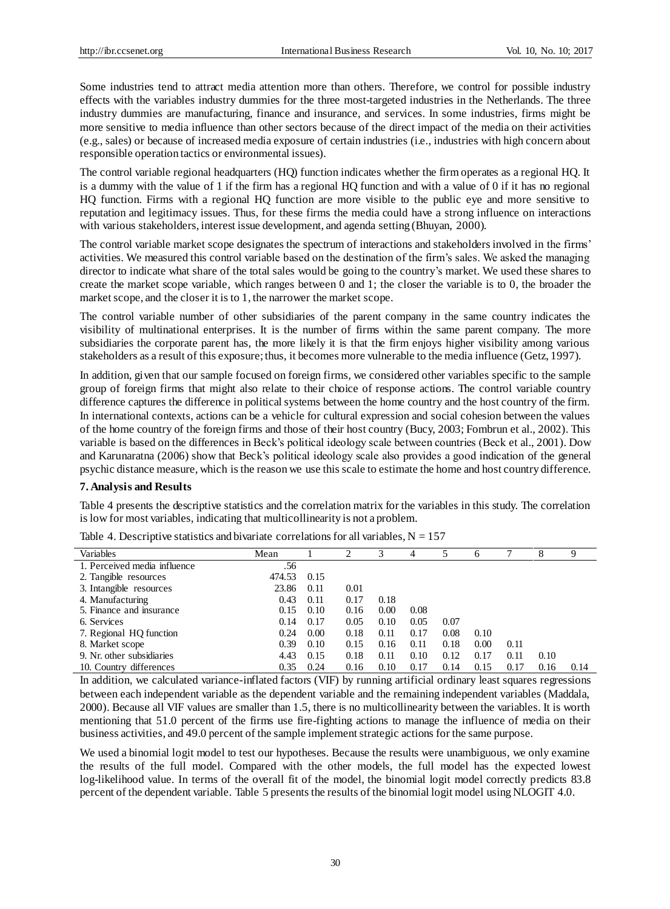Some industries tend to attract media attention more than others. Therefore, we control for possible industry effects with the variables industry dummies for the three most-targeted industries in the Netherlands. The three industry dummies are manufacturing, finance and insurance, and services. In some industries, firms might be more sensitive to media influence than other sectors because of the direct impact of the media on their activities (e.g., sales) or because of increased media exposure of certain industries (i.e., industries with high concern about responsible operation tactics or environmental issues).

The control variable regional headquarters (HQ) function indicates whether the firm operates as a regional HQ. It is a dummy with the value of 1 if the firm has a regional HQ function and with a value of 0 if it has no regional HQ function. Firms with a regional HQ function are more visible to the public eye and more sensitive to reputation and legitimacy issues. Thus, for these firms the media could have a strong influence on interactions with various stakeholders, interest issue development, and agenda setting (Bhuyan, 2000).

The control variable market scope designates the spectrum of interactions and stakeholders involved in the firms' activities. We measured this control variable based on the destination of the firm's sales. We asked the managing director to indicate what share of the total sales would be going to the country's market. We used these shares to create the market scope variable, which ranges between 0 and 1; the closer the variable is to 0, the broader the market scope, and the closer it is to 1, the narrower the market scope.

The control variable number of other subsidiaries of the parent company in the same country indicates the visibility of multinational enterprises. It is the number of firms within the same parent company. The more subsidiaries the corporate parent has, the more likely it is that the firm enjoys higher visibility among various stakeholders as a result of this exposure; thus, it becomes more vulnerable to the media influence (Getz, 1997).

In addition, given that our sample focused on foreign firms, we considered other variables specific to the sample group of foreign firms that might also relate to their choice of response actions. The control variable country difference captures the difference in political systems between the home country and the host country of the firm. In international contexts, actions can be a vehicle for cultural expression and social cohesion between the values of the home country of the foreign firms and those of their host country (Bucy, 2003; Fombrun et al., 2002). This variable is based on the differences in Beck's political ideology scale between countries (Beck et al., 2001). Dow and Karunaratna (2006) show that Beck's political ideology scale also provides a good indication of the general psychic distance measure, which is the reason we use this scale to estimate the home and host country difference.

# **7. Analysis and Results**

Table 4 presents the descriptive statistics and the correlation matrix for the variables in this study. The correlation is low for most variables, indicating that multicollinearity is not a problem.

| Variables                    | Mean   |      |      |      | 4    |      | b    |      | ŏ    | 9    |
|------------------------------|--------|------|------|------|------|------|------|------|------|------|
| 1. Perceived media influence | .56    |      |      |      |      |      |      |      |      |      |
| 2. Tangible resources        | 474.53 | 0.15 |      |      |      |      |      |      |      |      |
| 3. Intangible resources      | 23.86  | 0.11 | 0.01 |      |      |      |      |      |      |      |
| 4. Manufacturing             | 0.43   | 0.11 | 0.17 | 0.18 |      |      |      |      |      |      |
| 5. Finance and insurance     | 0.15   | 0.10 | 0.16 | 0.00 | 0.08 |      |      |      |      |      |
| 6. Services                  | 0.14   | 0.17 | 0.05 | 0.10 | 0.05 | 0.07 |      |      |      |      |
| 7. Regional HQ function      | 0.24   | 0.00 | 0.18 | 0.11 | 0.17 | 0.08 | 0.10 |      |      |      |
| 8. Market scope              | 0.39   | 0.10 | 0.15 | 0.16 | 0.11 | 0.18 | 0.00 | 0.11 |      |      |
| 9. Nr. other subsidiaries    | 4.43   | 0.15 | 0.18 | 0.11 | 0.10 | 0.12 | 0.17 | 0.11 | 0.10 |      |
| 10. Country differences      | 0.35   | 0.24 | 0.16 | 0.10 | 0.17 | 0.14 | 0.15 | 0.17 | 0.16 | 0.14 |

Table 4. Descriptive statistics and bivariate correlations for all variables,  $N = 157$ 

In addition, we calculated variance-inflated factors (VIF) by running artificial ordinary least squares regressions between each independent variable as the dependent variable and the remaining independent variables (Maddala, 2000). Because all VIF values are smaller than 1.5, there is no multicollinearity between the variables. It is worth mentioning that 51.0 percent of the firms use fire-fighting actions to manage the influence of media on their business activities, and 49.0 percent of the sample implement strategic actions for the same purpose.

We used a binomial logit model to test our hypotheses. Because the results were unambiguous, we only examine the results of the full model. Compared with the other models, the full model has the expected lowest log-likelihood value. In terms of the overall fit of the model, the binomial logit model correctly predicts 83.8 percent of the dependent variable. Table 5 presents the results of the binomial logit model using NLOGIT 4.0.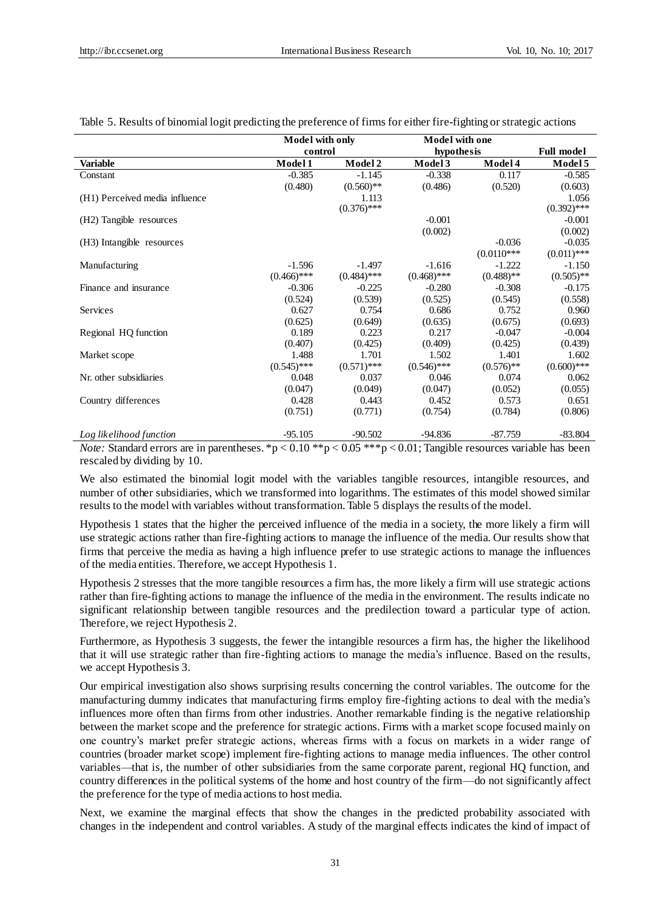|                                                                                                                              | Model with only |               | <b>Model with one</b>                                                                              |              |                   |
|------------------------------------------------------------------------------------------------------------------------------|-----------------|---------------|----------------------------------------------------------------------------------------------------|--------------|-------------------|
|                                                                                                                              | control         |               | hypothesis                                                                                         |              | <b>Full model</b> |
| Variable                                                                                                                     | Model 1         | Model 2       | Model 3                                                                                            | Model 4      | Model 5           |
| Constant                                                                                                                     | $-0.385$        | $-1.145$      | $-0.338$                                                                                           | 0.117        | $-0.585$          |
|                                                                                                                              | (0.480)         | $(0.560)$ **  | (0.486)                                                                                            | (0.520)      | (0.603)           |
| (H1) Perceived media influence                                                                                               |                 | 1.113         |                                                                                                    |              | 1.056             |
|                                                                                                                              |                 | $(0.376)$ *** |                                                                                                    |              | $(0.392)$ ***     |
| (H2) Tangible resources                                                                                                      |                 |               | $-0.001$                                                                                           |              | $-0.001$          |
|                                                                                                                              |                 |               | (0.002)                                                                                            |              | (0.002)           |
| (H <sub>3</sub> ) Intangible resources                                                                                       |                 |               |                                                                                                    | $-0.036$     | $-0.035$          |
|                                                                                                                              |                 |               |                                                                                                    | $(0.0110***$ | $(0.011)$ ***     |
| Manufacturing                                                                                                                | $-1.596$        | $-1.497$      | $-1.616$                                                                                           | $-1.222$     | $-1.150$          |
|                                                                                                                              | $(0.466)$ ***   | $(0.484)$ *** | $(0.468)$ ***                                                                                      | $(0.488)$ ** | $(0.505)$ **      |
| Finance and insurance                                                                                                        | $-0.306$        | $-0.225$      | $-0.280$                                                                                           | $-0.308$     | $-0.175$          |
|                                                                                                                              | (0.524)         | (0.539)       | (0.525)                                                                                            | (0.545)      | (0.558)           |
| Services                                                                                                                     | 0.627           | 0.754         | 0.686                                                                                              | 0.752        | 0.960             |
|                                                                                                                              | (0.625)         | (0.649)       | (0.635)                                                                                            | (0.675)      | (0.693)           |
| Regional HQ function                                                                                                         | 0.189           | 0.223         | 0.217                                                                                              | $-0.047$     | $-0.004$          |
|                                                                                                                              | (0.407)         | (0.425)       | (0.409)                                                                                            | (0.425)      | (0.439)           |
| Market scope                                                                                                                 | 1.488           | 1.701         | 1.502                                                                                              | 1.401        | 1.602             |
|                                                                                                                              | $(0.545)$ ***   | $(0.571)$ *** | $(0.546)$ ***                                                                                      | $(0.576)$ ** | $(0.600)$ ***     |
| Nr. other subsidiaries                                                                                                       | 0.048           | 0.037         | 0.046                                                                                              | 0.074        | 0.062             |
|                                                                                                                              | (0.047)         | (0.049)       | (0.047)                                                                                            | (0.052)      | (0.055)           |
| Country differences                                                                                                          | 0.428           | 0.443         | 0.452                                                                                              | 0.573        | 0.651             |
|                                                                                                                              | (0.751)         | (0.771)       | (0.754)                                                                                            | (0.784)      | (0.806)           |
|                                                                                                                              |                 |               |                                                                                                    |              |                   |
| Log likelihood function                                                                                                      | $-95.105$       | $-90.502$     | $-94.836$                                                                                          | $-87.759$    | $-83.804$         |
| in a march <b>1.</b> a state of<br>$\mathbf{M}$ and $\mathbf{M}$ are $\mathbf{J}$ and $\mathbf{J}$ are seen and $\mathbf{M}$ |                 |               | $\forall x \in \{0, 10, 44, \ldots, 0, 05, 44, 46, \ldots, 0, 01, 01, \ldots, 11, 1, \ldots, 11\}$ |              |                   |

Table 5. Results of binomial logit predicting the preference of firms for either fire-fighting or strategic actions

*Note:* Standard errors are in parentheses. \*p < 0.10 \*\*p < 0.05 \*\*\*p < 0.01; Tangible resources variable has been rescaled by dividing by 10.

We also estimated the binomial logit model with the variables tangible resources, intangible resources, and number of other subsidiaries, which we transformed into logarithms. The estimates of this model showed similar results to the model with variables without transformation. Table 5 displays the results of the model.

Hypothesis 1 states that the higher the perceived influence of the media in a society, the more likely a firm will use strategic actions rather than fire-fighting actions to manage the influence of the media. Our results show that firms that perceive the media as having a high influence prefer to use strategic actions to manage the influences of the media entities. Therefore, we accept Hypothesis 1.

Hypothesis 2 stresses that the more tangible resources a firm has, the more likely a firm will use strategic actions rather than fire-fighting actions to manage the influence of the media in the environment. The results indicate no significant relationship between tangible resources and the predilection toward a particular type of action. Therefore, we reject Hypothesis 2.

Furthermore, as Hypothesis 3 suggests, the fewer the intangible resources a firm has, the higher the likelihood that it will use strategic rather than fire-fighting actions to manage the media's influence. Based on the results, we accept Hypothesis 3.

Our empirical investigation also shows surprising results concerning the control variables. The outcome for the manufacturing dummy indicates that manufacturing firms employ fire-fighting actions to deal with the media's influences more often than firms from other industries. Another remarkable finding is the negative relationship between the market scope and the preference for strategic actions. Firms with a market scope focused mainly on one country's market prefer strategic actions, whereas firms with a focus on markets in a wider range of countries (broader market scope) implement fire-fighting actions to manage media influences. The other control variables—that is, the number of other subsidiaries from the same corporate parent, regional HQ function, and country differences in the political systems of the home and host country of the firm—do not significantly affect the preference for the type of media actions to host media.

Next, we examine the marginal effects that show the changes in the predicted probability associated with changes in the independent and control variables. A study of the marginal effects indicates the kind of impact of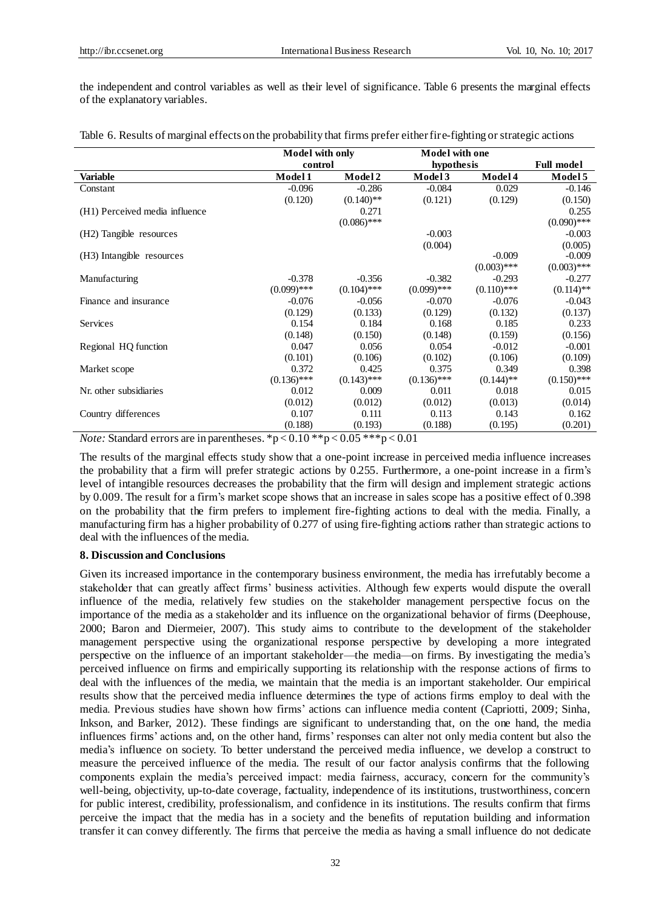the independent and control variables as well as their level of significance. Table 6 presents the marginal effects of the explanatory variables.

| Table 6. Results of marginal effects on the probability that firms prefer either fire-fighting or strategic actions |  |  |
|---------------------------------------------------------------------------------------------------------------------|--|--|
|                                                                                                                     |  |  |

|                                        | Model with only |               | <b>Model with one</b> |               |                   |
|----------------------------------------|-----------------|---------------|-----------------------|---------------|-------------------|
|                                        | control         |               | hypothesis            |               | <b>Full model</b> |
| <b>Variable</b>                        | Model 1         | Model 2       | Model 3               | Model 4       | Model 5           |
| Constant                               | $-0.096$        | $-0.286$      | $-0.084$              | 0.029         | $-0.146$          |
|                                        | (0.120)         | $(0.140)$ **  | (0.121)               | (0.129)       | (0.150)           |
| (H1) Perceived media influence         |                 | 0.271         |                       |               | 0.255             |
|                                        |                 | $(0.086)$ *** |                       |               | $(0.090)$ ***     |
| (H2) Tangible resources                |                 |               | $-0.003$              |               | $-0.003$          |
|                                        |                 |               | (0.004)               |               | (0.005)           |
| (H <sub>3</sub> ) Intangible resources |                 |               |                       | $-0.009$      | $-0.009$          |
|                                        |                 |               |                       | $(0.003)$ *** | $(0.003)$ ***     |
| Manufacturing                          | $-0.378$        | $-0.356$      | $-0.382$              | $-0.293$      | $-0.277$          |
|                                        | $(0.099)$ ***   | $(0.104)$ *** | $(0.099)$ ***         | $(0.110)$ *** | $(0.114)$ **      |
| Finance and insurance                  | $-0.076$        | $-0.056$      | $-0.070$              | $-0.076$      | $-0.043$          |
|                                        | (0.129)         | (0.133)       | (0.129)               | (0.132)       | (0.137)           |
| <b>Services</b>                        | 0.154           | 0.184         | 0.168                 | 0.185         | 0.233             |
|                                        | (0.148)         | (0.150)       | (0.148)               | (0.159)       | (0.156)           |
| Regional HQ function                   | 0.047           | 0.056         | 0.054                 | $-0.012$      | $-0.001$          |
|                                        | (0.101)         | (0.106)       | (0.102)               | (0.106)       | (0.109)           |
| Market scope                           | 0.372           | 0.425         | 0.375                 | 0.349         | 0.398             |
|                                        | $(0.136)$ ***   | $(0.143)$ *** | $(0.136)$ ***         | $(0.144)$ **  | $(0.150)$ ***     |
| Nr. other subsidiaries                 | 0.012           | 0.009         | 0.011                 | 0.018         | 0.015             |
|                                        | (0.012)         | (0.012)       | (0.012)               | (0.013)       | (0.014)           |
| Country differences                    | 0.107           | 0.111         | 0.113                 | 0.143         | 0.162             |
|                                        | (0.188)         | (0.193)       | (0.188)               | (0.195)       | (0.201)           |

*Note:* Standard errors are in parentheses. \*p<0.10 \*\*p<0.05 \*\*\*p<0.01

The results of the marginal effects study show that a one-point increase in perceived media influence increases the probability that a firm will prefer strategic actions by 0.255. Furthermore, a one-point increase in a firm's level of intangible resources decreases the probability that the firm will design and implement strategic actions by 0.009. The result for a firm's market scope shows that an increase in sales scope has a positive effect of 0.398 on the probability that the firm prefers to implement fire-fighting actions to deal with the media. Finally, a manufacturing firm has a higher probability of 0.277 of using fire-fighting actions rather than strategic actions to deal with the influences of the media.

## **8. Discussion and Conclusions**

Given its increased importance in the contemporary business environment, the media has irrefutably become a stakeholder that can greatly affect firms' business activities. Although few experts would dispute the overall influence of the media, relatively few studies on the stakeholder management perspective focus on the importance of the media as a stakeholder and its influence on the organizational behavior of firms (Deephouse, 2000; Baron and Diermeier, 2007). This study aims to contribute to the development of the stakeholder management perspective using the organizational response perspective by developing a more integrated perspective on the influence of an important stakeholder—the media—on firms. By investigating the media's perceived influence on firms and empirically supporting its relationship with the response actions of firms to deal with the influences of the media, we maintain that the media is an important stakeholder. Our empirical results show that the perceived media influence determines the type of actions firms employ to deal with the media. Previous studies have shown how firms' actions can influence media content (Capriotti, 2009; Sinha, Inkson, and Barker, 2012). These findings are significant to understanding that, on the one hand, the media influences firms' actions and, on the other hand, firms' responses can alter not only media content but also the media's influence on society. To better understand the perceived media influence, we develop a construct to measure the perceived influence of the media. The result of our factor analysis confirms that the following components explain the media's perceived impact: media fairness, accuracy, concern for the community's well-being, objectivity, up-to-date coverage, factuality, independence of its institutions, trustworthiness, concern for public interest, credibility, professionalism, and confidence in its institutions. The results confirm that firms perceive the impact that the media has in a society and the benefits of reputation building and information transfer it can convey differently. The firms that perceive the media as having a small influence do not dedicate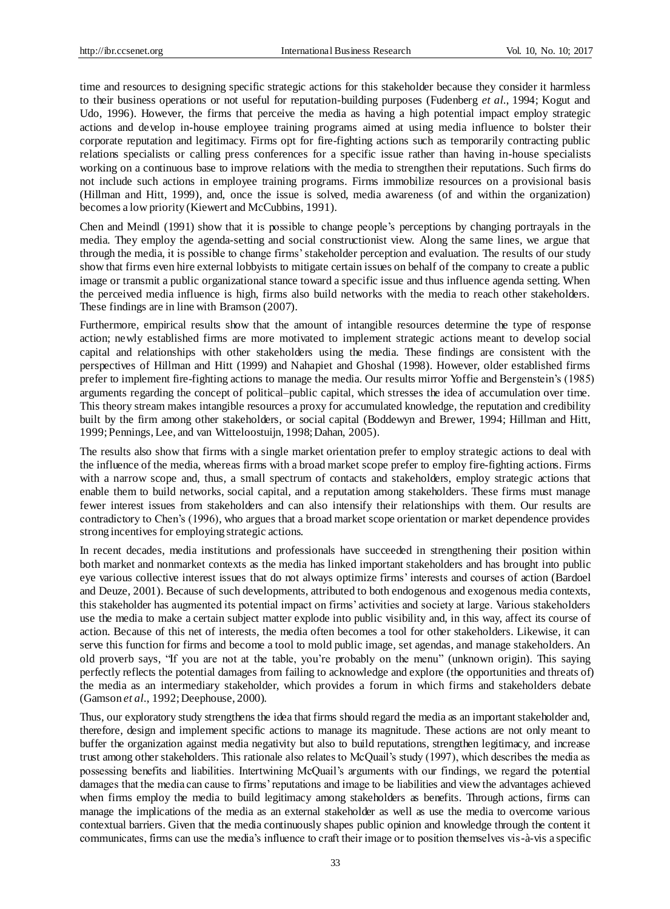time and resources to designing specific strategic actions for this stakeholder because they consider it harmless to their business operations or not useful for reputation-building purposes (Fudenberg *et al.*, 1994; Kogut and Udo, 1996). However, the firms that perceive the media as having a high potential impact employ strategic actions and develop in-house employee training programs aimed at using media influence to bolster their corporate reputation and legitimacy. Firms opt for fire-fighting actions such as temporarily contracting public relations specialists or calling press conferences for a specific issue rather than having in-house specialists working on a continuous base to improve relations with the media to strengthen their reputations. Such firms do not include such actions in employee training programs. Firms immobilize resources on a provisional basis (Hillman and Hitt, 1999), and, once the issue is solved, media awareness (of and within the organization) becomes a low priority (Kiewert and McCubbins, 1991).

Chen and Meindl (1991) show that it is possible to change people's perceptions by changing portrayals in the media. They employ the agenda-setting and social constructionist view. Along the same lines, we argue that through the media, it is possible to change firms' stakeholder perception and evaluation. The results of our study show that firms even hire external lobbyists to mitigate certain issues on behalf of the company to create a public image or transmit a public organizational stance toward a specific issue and thus influence agenda setting. When the perceived media influence is high, firms also build networks with the media to reach other stakeholders. These findings are in line with Bramson (2007).

Furthermore, empirical results show that the amount of intangible resources determine the type of response action; newly established firms are more motivated to implement strategic actions meant to develop social capital and relationships with other stakeholders using the media. These findings are consistent with the perspectives of Hillman and Hitt (1999) and Nahapiet and Ghoshal (1998). However, older established firms prefer to implement fire-fighting actions to manage the media. Our results mirror Yoffie and Bergenstein's (1985) arguments regarding the concept of political–public capital, which stresses the idea of accumulation over time. This theory stream makes intangible resources a proxy for accumulated knowledge, the reputation and credibility built by the firm among other stakeholders, or social capital (Boddewyn and Brewer, 1994; Hillman and Hitt, 1999; Pennings, Lee, and van Witteloostuijn, 1998; Dahan, 2005).

The results also show that firms with a single market orientation prefer to employ strategic actions to deal with the influence of the media, whereas firms with a broad market scope prefer to employ fire-fighting actions. Firms with a narrow scope and, thus, a small spectrum of contacts and stakeholders, employ strategic actions that enable them to build networks, social capital, and a reputation among stakeholders. These firms must manage fewer interest issues from stakeholders and can also intensify their relationships with them. Our results are contradictory to Chen's (1996), who argues that a broad market scope orientation or market dependence provides strong incentives for employing strategic actions.

In recent decades, media institutions and professionals have succeeded in strengthening their position within both market and nonmarket contexts as the media has linked important stakeholders and has brought into public eye various collective interest issues that do not always optimize firms' interests and courses of action (Bardoel and Deuze, 2001). Because of such developments, attributed to both endogenous and exogenous media contexts, this stakeholder has augmented its potential impact on firms' activities and society at large. Various stakeholders use the media to make a certain subject matter explode into public visibility and, in this way, affect its course of action. Because of this net of interests, the media often becomes a tool for other stakeholders. Likewise, it can serve this function for firms and become a tool to mold public image, set agendas, and manage stakeholders. An old proverb says, "If you are not at the table, you're probably on the menu" (unknown origin). This saying perfectly reflects the potential damages from failing to acknowledge and explore (the opportunities and threats of) the media as an intermediary stakeholder, which provides a forum in which firms and stakeholders debate (Gamson *et al.*, 1992; Deephouse, 2000).

Thus, our exploratory study strengthens the idea that firms should regard the media as an important stakeholder and, therefore, design and implement specific actions to manage its magnitude. These actions are not only meant to buffer the organization against media negativity but also to build reputations, strengthen legitimacy, and increase trust among other stakeholders. This rationale also relates to McQuail's study (1997), which describes the media as possessing benefits and liabilities. Intertwining McQuail's arguments with our findings, we regard the potential damages that the media can cause to firms' reputations and image to be liabilities and view the advantages achieved when firms employ the media to build legitimacy among stakeholders as benefits. Through actions, firms can manage the implications of the media as an external stakeholder as well as use the media to overcome various contextual barriers. Given that the media continuously shapes public opinion and knowledge through the content it communicates, firms can use the media's influence to craft their image or to position themselves vis-à-vis a specific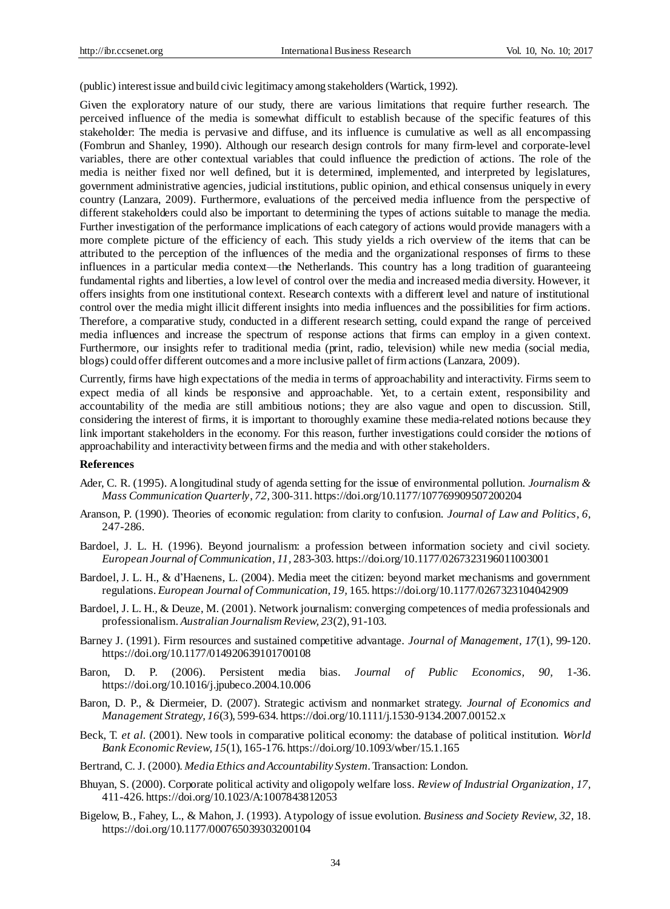(public) interest issue and build civic legitimacy among stakeholders (Wartick, 1992).

Given the exploratory nature of our study, there are various limitations that require further research. The perceived influence of the media is somewhat difficult to establish because of the specific features of this stakeholder: The media is pervasive and diffuse, and its influence is cumulative as well as all encompassing (Fombrun and Shanley, 1990). Although our research design controls for many firm-level and corporate-level variables, there are other contextual variables that could influence the prediction of actions. The role of the media is neither fixed nor well defined, but it is determined, implemented, and interpreted by legislatures, government administrative agencies, judicial institutions, public opinion, and ethical consensus uniquely in every country (Lanzara, 2009). Furthermore, evaluations of the perceived media influence from the perspective of different stakeholders could also be important to determining the types of actions suitable to manage the media. Further investigation of the performance implications of each category of actions would provide managers with a more complete picture of the efficiency of each. This study yields a rich overview of the items that can be attributed to the perception of the influences of the media and the organizational responses of firms to these influences in a particular media context—the Netherlands. This country has a long tradition of guaranteeing fundamental rights and liberties, a low level of control over the media and increased media diversity. However, it offers insights from one institutional context. Research contexts with a different level and nature of institutional control over the media might illicit different insights into media influences and the possibilities for firm actions. Therefore, a comparative study, conducted in a different research setting, could expand the range of perceived media influences and increase the spectrum of response actions that firms can employ in a given context. Furthermore, our insights refer to traditional media (print, radio, television) while new media (social media, blogs) could offer different outcomes and a more inclusive pallet of firm actions (Lanzara, 2009).

Currently, firms have high expectations of the media in terms of approachability and interactivity. Firms seem to expect media of all kinds be responsive and approachable. Yet, to a certain extent, responsibility and accountability of the media are still ambitious notions; they are also vague and open to discussion. Still, considering the interest of firms, it is important to thoroughly examine these media-related notions because they link important stakeholders in the economy. For this reason, further investigations could consider the notions of approachability and interactivity between firms and the media and with other stakeholders.

## **References**

- Ader, C. R. (1995). A longitudinal study of agenda setting for the issue of environmental pollution. *Journalism & Mass Communication Quarterly*, *72,* 300-311. https://doi.org/10.1177/107769909507200204
- Aranson, P. (1990). Theories of economic regulation: from clarity to confusion. *Journal of Law and Politics, 6,* 247-286.
- Bardoel, J. L. H. (1996). Beyond journalism: a profession between information society and civil society. *European Journal of Communication, 11,* 283-303. https://doi.org/10.1177/0267323196011003001
- Bardoel, J. L. H., & d'Haenens, L. (2004). Media meet the citizen: beyond market mechanisms and government regulations. *European Journal of Communication*, *19,* 165. https://doi.org/10.1177/0267323104042909
- Bardoel, J. L. H., & Deuze, M. (2001). Network journalism: converging competences of media professionals and professionalism. *Australian Journalism Review, 23*(2), 91-103.
- Barney J. (1991). Firm resources and sustained competitive advantage. *Journal of Management, 17*(1), 99-120. https://doi.org/10.1177/014920639101700108
- Baron, D. P. (2006). Persistent media bias. *Journal of Public Economics, 90,* 1-36. https://doi.org/10.1016/j.jpubeco.2004.10.006
- Baron, D. P., & Diermeier, D. (2007). Strategic activism and nonmarket strategy. *Journal of Economics and Management Strategy, 16*(3), 599-634. https://doi.org/10.1111/j.1530-9134.2007.00152.x
- Beck, T. *et al.* (2001). New tools in comparative political economy: the database of political institution. *World Bank Economic Review, 15*(1), 165-176. https://doi.org/10.1093/wber/15.1.165
- Bertrand, C. J. (2000). *Media Ethics and Accountability System*. Transaction: London.
- Bhuyan, S. (2000). Corporate political activity and oligopoly welfare loss. *Review of Industrial Organization, 17,* 411-426. https://doi.org/10.1023/A:1007843812053
- Bigelow, B., Fahey, L., & Mahon, J. (1993). A typology of issue evolution. *Business and Society Review, 32,* 18. https://doi.org/10.1177/000765039303200104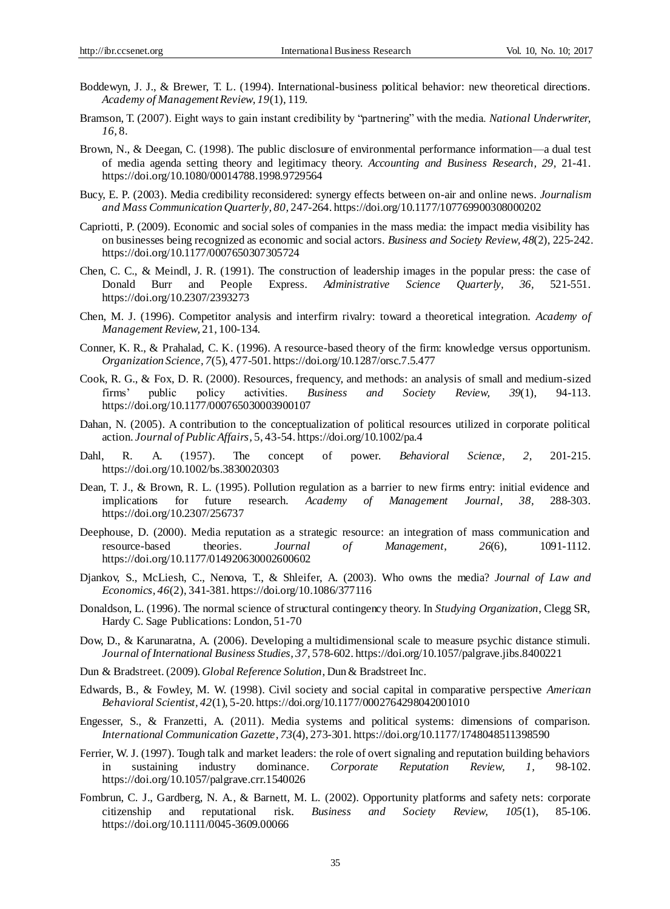- Boddewyn, J. J., & Brewer, T. L. (1994). International-business political behavior: new theoretical directions. *Academy of Management Review, 19*(1), 119.
- Bramson, T. (2007). Eight ways to gain instant credibility by "partnering" with the media. *National Underwriter, 16,* 8.
- Brown, N., & Deegan, C. (1998). The public disclosure of environmental performance information—a dual test of media agenda setting theory and legitimacy theory. *Accounting and Business Research, 29,* 21-41. https://doi.org/10.1080/00014788.1998.9729564
- Bucy, E. P. (2003). Media credibility reconsidered: synergy effects between on-air and online news. *Journalism and Mass Communication Quarterly, 80,* 247-264. https://doi.org/10.1177/107769900308000202
- Capriotti, P. (2009). Economic and social soles of companies in the mass media: the impact media visibility has on businesses being recognized as economic and social actors. *Business and Society Review, 48*(2), 225-242. https://doi.org/10.1177/0007650307305724
- Chen, C. C., & Meindl, J. R. (1991). The construction of leadership images in the popular press: the case of Donald Burr and People Express. *Administrative Science Quarterly, 36,* 521-551. https://doi.org/10.2307/2393273
- Chen, M. J. (1996). Competitor analysis and interfirm rivalry: toward a theoretical integration. *Academy of Management Review,* 21, 100-134.
- Conner, K. R., & Prahalad, C. K. (1996). A resource-based theory of the firm: knowledge versus opportunism. *Organization Science, 7*(5), 477-501. https://doi.org/10.1287/orsc.7.5.477
- Cook, R. G., & Fox, D. R. (2000). Resources, frequency, and methods: an analysis of small and medium-sized firms' public policy activities. *Business and Society Review, 39*(1), 94-113. https://doi.org/10.1177/000765030003900107
- Dahan, N. (2005). A contribution to the conceptualization of political resources utilized in corporate political action. *Journal of Public Affairs,* 5, 43-54. https://doi.org/10.1002/pa.4
- Dahl, R. A. (1957). The concept of power. *Behavioral Science, 2,* 201-215. https://doi.org/10.1002/bs.3830020303
- Dean, T. J., & Brown, R. L. (1995). Pollution regulation as a barrier to new firms entry: initial evidence and implications for future research. *Academy of Management Journal, 38,* 288-303. https://doi.org/10.2307/256737
- Deephouse, D. (2000). Media reputation as a strategic resource: an integration of mass communication and resource-based theories. *Journal of Management*, *26*(6), 1091-1112. https://doi.org/10.1177/014920630002600602
- Djankov, S., McLiesh, C., Nenova, T., & Shleifer, A. (2003). Who owns the media? *Journal of Law and Economics, 46*(2), 341-381. https://doi.org/10.1086/377116
- Donaldson, L. (1996). The normal science of structural contingency theory. In *Studying Organization*, Clegg SR, Hardy C. Sage Publications: London, 51-70
- Dow, D., & Karunaratna, A. (2006). Developing a multidimensional scale to measure psychic distance stimuli. *Journal of International Business Studies, 37,* 578-602. https://doi.org/10.1057/palgrave.jibs.8400221
- Dun & Bradstreet. (2009). *Global Reference Solution*, Dun & Bradstreet Inc.
- Edwards, B., & Fowley, M. W. (1998). Civil society and social capital in comparative perspective *American Behavioral Scientist, 42*(1), 5-20. https://doi.org/10.1177/0002764298042001010
- Engesser, S., & Franzetti, A. (2011). Media systems and political systems: dimensions of comparison. *International Communication Gazette, 73*(4), 273-301. https://doi.org/10.1177/1748048511398590
- Ferrier, W. J. (1997). Tough talk and market leaders: the role of overt signaling and reputation building behaviors in sustaining industry dominance. *Corporate Reputation Review, 1,* 98-102. https://doi.org/10.1057/palgrave.crr.1540026
- Fombrun, C. J., Gardberg, N. A., & Barnett, M. L. (2002). [Opportunity platforms and safety nets: corporate](http://onlinelibrary.wiley.com/doi/10.1111/0045-3609.00066/abstract)  [citizenship and reputational risk.](http://onlinelibrary.wiley.com/doi/10.1111/0045-3609.00066/abstract) *Business and Society Review, 105*(1), 85-106. https://doi.org/10.1111/0045-3609.00066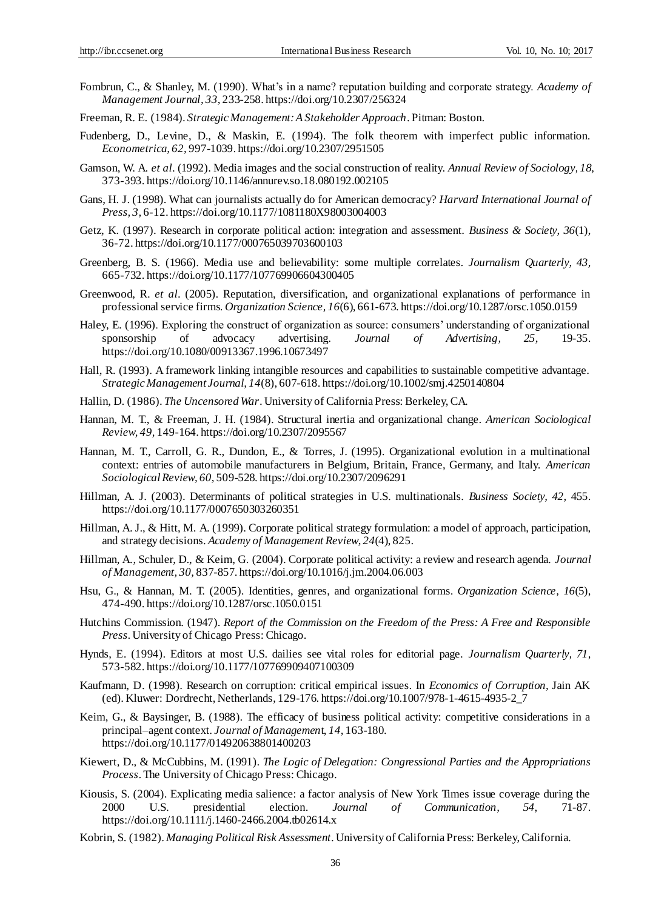- Fombrun, C., & Shanley, M. (1990). What's in a name? reputation building and corporate strategy. *Academy of Management Journal, 33,* 233-258. https://doi.org/10.2307/256324
- Freeman, R. E. (1984). *Strategic Management: A Stakeholder Approach*. Pitman: Boston.
- Fudenberg, D., Levine, D., & Maskin, E. (1994). The folk theorem with imperfect public information. *Econometrica, 62,* 997-1039. https://doi.org/10.2307/2951505
- Gamson, W. A. *et al*. (1992). Media images and the social construction of reality. *Annual Review of Sociology, 18,*  373-393. https://doi.org/10.1146/annurev.so.18.080192.002105
- Gans, H. J. (1998). What can journalists actually do for American democracy? *Harvard International Journal of Press, 3,* 6-12. https://doi.org/10.1177/1081180X98003004003
- Getz, K. (1997). Research in corporate political action: integration and assessment. *Business & Society, 36*(1), 36-72. https://doi.org/10.1177/000765039703600103
- Greenberg, B. S. (1966). Media use and believability: some multiple correlates. *Journalism Quarterly, 43,* 665-732. https://doi.org/10.1177/107769906604300405
- Greenwood, R. *et al*. (2005). Reputation, diversification, and organizational explanations of performance in professional service firms. *Organization Science, 16*(6), 661-673. https://doi.org/10.1287/orsc.1050.0159
- Haley, E. (1996). Exploring the construct of organization as source: consumers' understanding of organizational sponsorship of advocacy advertising. *Journal of Advertising, 25,* 19-35. https://doi.org/10.1080/00913367.1996.10673497
- Hall, R. (1993). A framework linking intangible resources and capabilities to sustainable competitive advantage. *Strategic Management Journal, 14*(8), 607-618. https://doi.org/10.1002/smj.4250140804
- Hallin, D. (1986). *The Uncensored War*. University of California Press: Berkeley, CA.
- Hannan, M. T., & Freeman, J. H. (1984). Structural inertia and organizational change. *American Sociological Review, 49,* 149-164. https://doi.org/10.2307/2095567
- Hannan, M. T., Carroll, G. R., Dundon, E., & Torres, J. (1995). Organizational evolution in a multinational context: entries of automobile manufacturers in Belgium, Britain, France, Germany, and Italy. *American Sociological Review, 60,* 509-528. https://doi.org/10.2307/2096291
- Hillman, A. J. (2003). Determinants of political strategies in U.S. multinationals. *Business Society, 42,* 455. https://doi.org/10.1177/0007650303260351
- Hillman, A. J., & Hitt, M. A. (1999). Corporate political strategy formulation: a model of approach, participation, and strategy decisions. *Academy of Management Review, 24*(4), 825.
- Hillman, A., Schuler, D., & Keim, G. (2004). Corporate political activity: a review and research agenda. *Journal of Management, 30,* 837-857. https://doi.org/10.1016/j.jm.2004.06.003
- Hsu, G., & Hannan, M. T. (2005). Identities, genres, and organizational forms. *Organization Science, 16*(5), 474-490. https://doi.org/10.1287/orsc.1050.0151
- Hutchins Commission. (1947). *Report of the Commission on the Freedom of the Press: A Free and Responsible Press*. University of Chicago Press: Chicago.
- Hynds, E. (1994). Editors at most U.S. dailies see vital roles for editorial page. *Journalism Quarterly, 71,* 573-582. https://doi.org/10.1177/107769909407100309
- Kaufmann, D. (1998). Research on corruption: critical empirical issues. In *Economics of Corruption,* Jain AK (ed). Kluwer: Dordrecht, Netherlands, 129-176. https://doi.org/10.1007/978-1-4615-4935-2\_7
- Keim, G., & Baysinger, B. (1988). The efficacy of business political activity: competitive considerations in a principal–agent context. *Journal of Managemen*t, *14,* 163-180. https://doi.org/10.1177/014920638801400203
- Kiewert, D., & McCubbins, M. (1991). *The Logic of Delegation: Congressional Parties and the Appropriations Process*. The University of Chicago Press: Chicago.
- Kiousis, S. (2004). [Explicating media salience: a factor analysis of New York Times issue coverage during the](http://onlinelibrary.wiley.com/doi/10.1111/j.1460-2466.2004.tb02614.x/abstract)  [2000 U.S. presidential election.](http://onlinelibrary.wiley.com/doi/10.1111/j.1460-2466.2004.tb02614.x/abstract) *Journal of Communication, 54*, 71-87. https://doi.org/10.1111/j.1460-2466.2004.tb02614.x
- Kobrin, S. (1982). *Managing Political Risk Assessment*. University of California Press: Berkeley, California.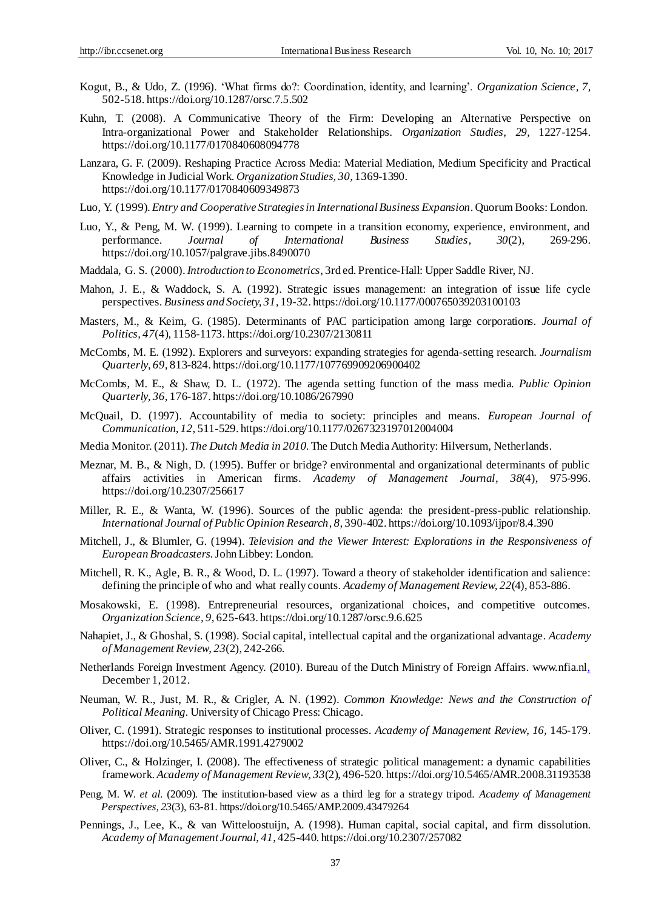- Kogut, B., & Udo, Z. (1996). 'What firms do?: Coordination, identity, and learning'. *Organization Science, 7,* 502-518. https://doi.org/10.1287/orsc.7.5.502
- Kuhn, T. (2008). A Communicative Theory of the Firm: Developing an Alternative Perspective on Intra-organizational Power and Stakeholder Relationships. *Organization Studies, 29,* 1227-1254. https://doi.org/10.1177/0170840608094778
- Lanzara, G. F. (2009). Reshaping Practice Across Media: Material Mediation, Medium Specificity and Practical Knowledge in Judicial Work. *Organization Studies, 30,* 1369-1390. https://doi.org/10.1177/0170840609349873
- Luo, Y. (1999). *Entry and Cooperative Strategies in International Business Expansion*. Quorum Books: London.
- Luo, Y., & Peng, M. W. (1999). Learning to compete in a transition economy, experience, environment, and performance. *Journal of International Business Studies, 30*(2), 269-296. https://doi.org/10.1057/palgrave.jibs.8490070
- Maddala, G. S. (2000). *Introduction to Econometrics*, 3rd ed. Prentice-Hall: Upper Saddle River, NJ.
- Mahon, J. E., & Waddock, S. A. (1992). Strategic issues management: an integration of issue life cycle perspectives. *Business and Society, 31,* 19-32. https://doi.org/10.1177/000765039203100103
- Masters, M., & Keim, G. (1985). Determinants of PAC participation among large corporations. *Journal of Politics, 47*(4), 1158-1173. https://doi.org/10.2307/2130811
- McCombs, M. E. (1992). Explorers and surveyors: expanding strategies for agenda-setting research. *Journalism Quarterly, 69,* 813-824. https://doi.org/10.1177/107769909206900402
- McCombs, M. E., & Shaw, D. L. (1972). The agenda setting function of the mass media. *Public Opinion Quarterly, 36,* 176-187. https://doi.org/10.1086/267990
- McQuail, D. (1997). Accountability of media to society: principles and means. *European Journal of Communication, 12,* 511-529. https://doi.org/10.1177/0267323197012004004
- Media Monitor. (2011). *The Dutch Media in 2010*. The Dutch Media Authority: Hilversum, Netherlands.
- Meznar, M. B., & Nigh, D. (1995). Buffer or bridge? environmental and organizational determinants of public affairs activities in American firms. *Academy of Management Journal, 38*(4), 975-996. https://doi.org/10.2307/256617
- Miller, R. E., & Wanta, W. (1996). Sources of the public agenda: the president-press-public relationship. *International Journal of Public Opinion Research, 8,* 390-402. https://doi.org/10.1093/ijpor/8.4.390
- Mitchell, J., & Blumler, G. (1994). *Television and the Viewer Interest: Explorations in the Responsiveness of European Broadcasters*. John Libbey: London.
- Mitchell, R. K., Agle, B. R., & Wood, D. L. (1997). Toward a theory of stakeholder identification and salience: defining the principle of who and what really counts. *Academy of Management Review, 22*(4), 853-886.
- Mosakowski, E. (1998). Entrepreneurial resources, organizational choices, and competitive outcomes. *Organization Science, 9,* 625-643. https://doi.org/10.1287/orsc.9.6.625
- Nahapiet, J., & Ghoshal, S. (1998). Social capital, intellectual capital and the organizational advantage. *Academy of Management Review, 23*(2), 242-266.
- Netherlands Foreign Investment Agency. (2010). Bureau of the Dutch Ministry of Foreign Affairs. www.nfia.nl, December 1, 2012.
- Neuman, W. R., Just, M. R., & Crigler, A. N. (1992). *Common Knowledge: News and the Construction of Political Meaning.* University of Chicago Press: Chicago.
- Oliver, C. (1991). Strategic responses to institutional processes. *Academy of Management Review, 16,* 145-179. https://doi.org/10.5465/AMR.1991.4279002
- Oliver, C., & Holzinger, I. (2008). The effectiveness of strategic political management: a dynamic capabilities framework. *Academy of Management Review, 33*(2), 496-520. https://doi.org/10.5465/AMR.2008.31193538
- Peng, M. W. *et al*. (2009)*.* The institution-based view as a third leg for a strategy tripod. *Academy of Management Perspectives, 23*(3), 63-81. https://doi.org/10.5465/AMP.2009.43479264
- Pennings, J., Lee, K., & van Witteloostuijn, A. (1998). Human capital, social capital, and firm dissolution. *Academy of Management Journal, 41*, 425-440. https://doi.org/10.2307/257082